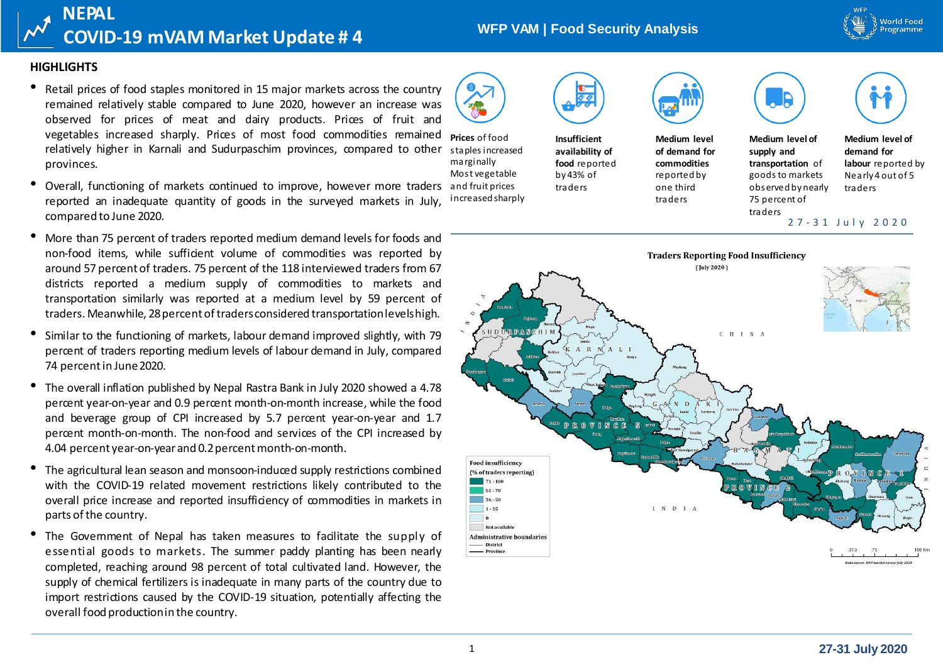

# **WFP VAM | Food Security Analysis**

#### **HIGHLIGHTS**

**NEPAL**

• Retail prices of food staples monitored in <sup>15</sup> major markets across the country remained relatively stable compared to June 2020, however an increase was observed for prices of meat and dairy products. Prices of fruit and vegetables increased sharply. Prices of most food commodities remained relatively higher in Karnali and Sudurpaschim provinces, compared to other provinces.

**COVID-19 mVAM Market Update # 4**

- Overall, functioning of markets continued to improve, however more traders and fruit prices reported an inadequate quantity of goods in the surveyed markets in July, compared to June 2020.
- More than <sup>75</sup> percent of traders reported medium demand levels for foods and non-food items, while sufficient volume of commodities was reported by around 57 percent of traders. 75 percent of the 118 interviewed traders from 67 districts reported a medium supply of commodities to markets and transportation similarly was reported at a medium level by 59 percent of traders. Meanwhile, 28 percent of traders considered transportation levels high.
- Similar to the functioning of markets, labour demand improved slightly, with <sup>79</sup> percent of traders reporting medium levels of labour demand in July, compared 74 percent in June 2020.
- The overall inflation published by Nepal Rastra Bank in July <sup>2020</sup> showed <sup>a</sup> 4.78 percent year-on-year and 0.9 percent month-on-month increase, while the food and beverage group of CPI increased by 5.7 percent year-on-year and 1.7 percent month-on-month. The non-food and services of the CPI increased by 4.04 percent year-on-year and 0.2 percent month-on-month.
- The agricultural lean season and monsoon-induced supply restrictions combined with the COVID-19 related movement restrictions likely contributed to the overall price increase and reported insufficiency of commodities in markets in parts of the country.
- The Govemment of Nepal has taken measures to facilitate the supply of essential goods to markets. The summer paddy planting has been nearly completed, reaching around 98 percent of total cultivated land. However, the supply of chemical fertilizers is inadequate in many parts of the country due to import restrictions caused by the COVID-19 situation, potentially affecting the overall food productionin the country.



**Prices** of food staples increased marginally Most vegetable

increased sharply



**Insufficient availability of food** reported by 43% of traders



**Medium level of demand for commodities**  reported by one third traders

**Medium level of supply and transportation** of goods to markets observed by nearly

**Medium level of demand for labour** reported by Nearly 4 out of 5

traders

75 percent of traders

2 7 - 3 1 J u l y 2 0 2 0

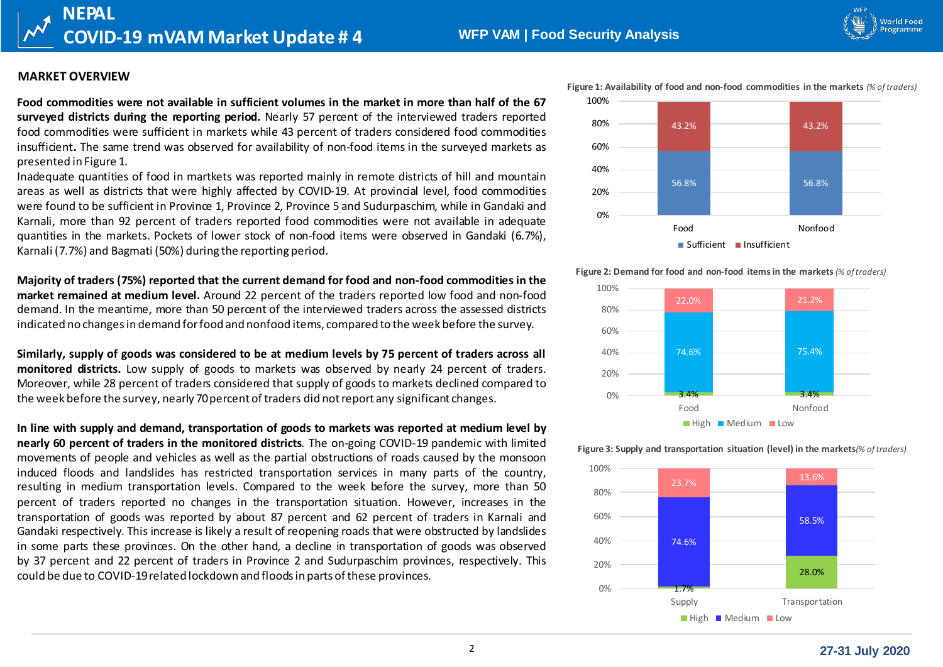World Food

# **MARKET OVERVIEW**

**NEPAL**

Food commodities were not available in sufficient volumes in the market in more than half of the 67 **surveyed districts during the reporting period.** Nearly 57 percent of the interviewed traders reported food commodities were sufficient in markets while 43 percent of traders considered food commodities insufficient**.** The same trend was observed for availability of non-food items in the surveyed markets as presented in Figure 1.

**COVID-19 mVAM Market Update # 4**

Inadequate quantities of food in martkets was reported mainly in remote districts of hill and mountain areas as well as districts that were highly affected by COVID-19. At provincial level, food commodities were found to be sufficient in Province 1, Province 2, Province 5 and Sudurpaschim, while in Gandaki and Karnali, more than 92 percent of traders reported food commodities were not available in adequate quantities in the markets. Pockets of lower stock of non-food items were observed in Gandaki (6.7%), Karnali (7.7%) and Bagmati (50%) during the reporting period.

**Majority of traders (75%) reported that the current demand for food and non-food commodities in the market remained at medium level.** Around 22 percent of the traders reported low food and non-food demand. In the meantime, more than 50 percent of the interviewed traders across the assessed districts indicated no changesin demand forfood and nonfood items, compared to the week before the survey.

Similarly, supply of goods was considered to be at medium levels by 75 percent of traders across all **monitored districts.** Low supply of goods to markets was observed by nearly 24 percent of traders. Moreover, while 28 percent of traders considered that supply of goods to markets declined compared to the week before the survey, nearly 70 percent of traders did not report any significant changes.

**In line with supply and demand, transportation of goods to markets was reported at medium level by nearly 60 percent of traders in the monitored districts***.* The on-going COVID-19 pandemic with limited movements of people and vehicles as well as the partial obstructions of roads caused by the monsoon induced floods and landslides has restricted transportation services in many parts of the country, resulting in medium transportation levels. Compared to the week before the survey, more than 50 percent of traders reported no changes in the transportation situation. However, increases in the transportation of goods was reported by about 87 percent and 62 percent of traders in Karnali and Gandaki respectively. This increase is likely a result of reopening roads that were obstructed by landslides in some parts these provinces. On the other hand, a decline in transportation of goods was observed by 37 percent and 22 percent of traders in Province 2 and Sudurpaschim provinces, respectively. This could be due to COVID-19related lockdown and floodsin parts ofthese provinces.



#### **Figure 2: Demand for food and non-food itemsin the markets***(% oftraders)*



**Figure 3: Supply and transportation situation (level) in the markets***(% oftraders)*

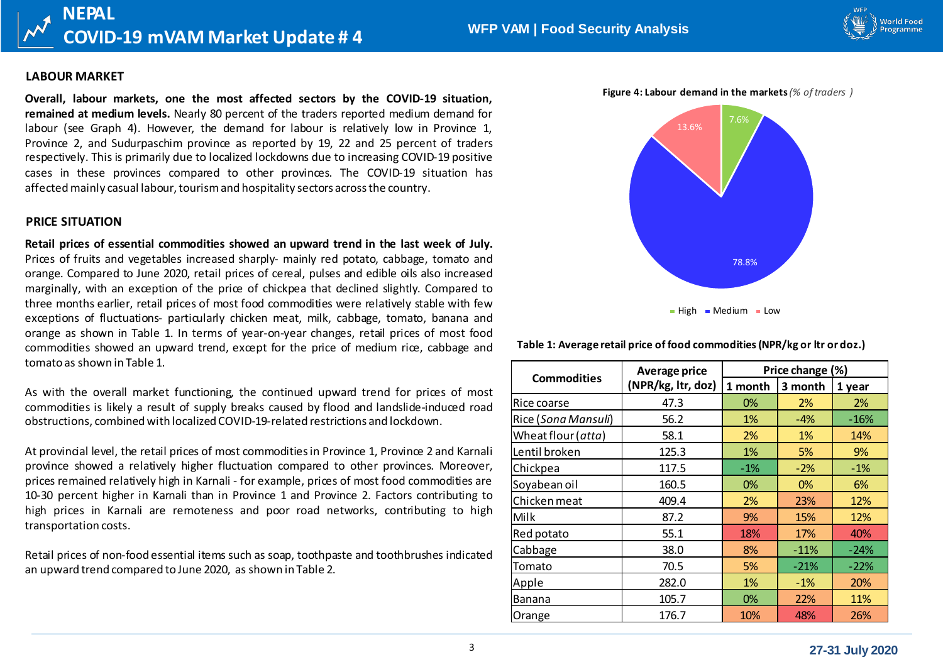

#### **LABOUR MARKET**

**Overall, labour markets, one the most affected sectors by the COVID-19 situation, remained at medium levels.** Nearly 80 percent of the traders reported medium demand for labour (see Graph 4). However, the demand for labour is relatively low in Province 1, Province 2, and Sudurpaschim province as reported by 19, 22 and 25 percent of traders respectively. This is primarily due to localized lockdowns due to increasing COVID-19 positive cases in these provinces compared to other provinces. The COVID-19 situation has affected mainly casual labour, tourism and hospitality sectors across the country.

#### **PRICE SITUATION**

**Retail prices of essential commodities showed an upward trend in the last week of July.** Prices of fruits and vegetables increased sharply- mainly red potato, cabbage, tomato and orange. Compared to June 2020, retail prices of cereal, pulses and edible oils also increased marginally, with an exception of the price of chickpea that declined slightly. Compared to three months earlier, retail prices of most food commodities were relatively stable with few exceptions of fluctuations- particularly chicken meat, milk, cabbage, tomato, banana and orange as shown in Table 1. In terms of year-on-year changes, retail prices of most food commodities showed an upward trend, except for the price of medium rice, cabbage and tomato as shown in Table 1.

As with the overall market functioning, the continued upward trend for prices of most commodities is likely a result of supply breaks caused by flood and landslide-induced road obstructions, combined with localized COVID-19-related restrictions and lockdown.

At provincial level, the retail prices of most commoditiesin Province 1, Province 2 and Karnali province showed a relatively higher fluctuation compared to other provinces. Moreover, prices remained relatively high in Karnali - for example, prices of most food commodities are 10-30 percent higher in Karnali than in Province 1 and Province 2. Factors contributing to high prices in Karnali are remoteness and poor road networks, contributing to high transportation costs.

Retail prices of non-food essential items such as soap, toothpaste and toothbrushes indicated an upward trend compared to June 2020, as shown in Table 2.



**Table 1: Average retail price of food commodities (NPR/kg or ltr or doz.)**

|                     | <b>Average price</b> | Price change (%) |            |        |  |
|---------------------|----------------------|------------------|------------|--------|--|
| <b>Commodities</b>  | (NPR/kg, ltr, doz)   | 1 month          | 3 month    | 1 year |  |
| Rice coarse         | 47.3                 | 0%               | 2%         | 2%     |  |
| Rice (Sona Mansuli) | 56.2                 | 1%               | -4%        | $-16%$ |  |
| Wheat flour (atta)  | 58.1                 | 2%               | $1\%$      | 14%    |  |
| Lentil broken       | 125.3                | 1%               | 5%         | 9%     |  |
| Chickpea            | 117.5                | $-1\%$           | $-2%$      | $-1%$  |  |
| Soyabean oil        | 160.5                | 0%               | 0%         | 6%     |  |
| Chicken meat        | 409.4                | 2%               | 23%        | 12%    |  |
| Milk                | 87.2                 | 9%               | <b>15%</b> | 12%    |  |
| Red potato          | 55.1                 | 18%              | 17%        | 40%    |  |
| Cabbage             | 38.0                 | 8%               | $-11%$     | $-24%$ |  |
| Tomato              | 70.5                 | 5%               | $-21%$     | $-22%$ |  |
| Apple               | 282.0                | 1%               | $-1%$      | 20%    |  |
| Banana              | 105.7                | 0%               | <b>22%</b> | 11%    |  |
| Orange              | 176.7                | 10%              | 48%        | 26%    |  |